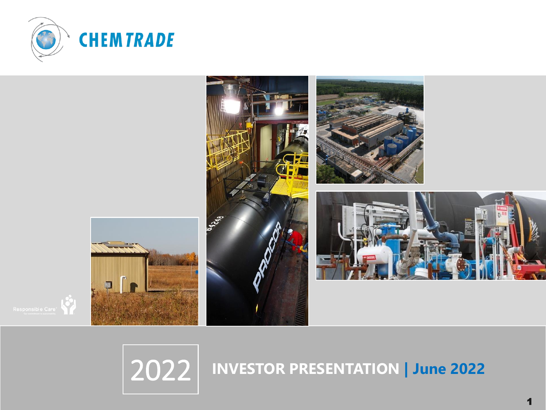









## **INVESTOR PRESENTATION | June <sup>2022</sup>**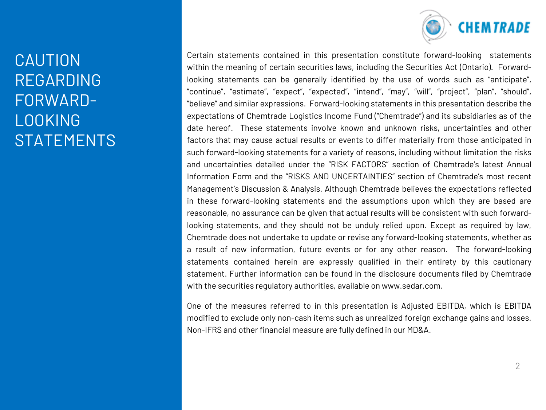

## CAUTION REGARDING FORWARD-LOOKING **STATEMENTS**

Certain statements contained in this presentation constitute forward-looking statements within the meaning of certain securities laws, including the Securities Act (Ontario). Forwardlooking statements can be generally identified by the use of words such as "anticipate", "continue", "estimate", "expect", "expected", "intend", "may", "will", "project", "plan", "should", "believe" and similar expressions. Forward-looking statements in this presentation describe the expectations of Chemtrade Logistics Income Fund ("Chemtrade") and its subsidiaries as of the date hereof. These statements involve known and unknown risks, uncertainties and other factors that may cause actual results or events to differ materially from those anticipated in such forward-looking statements for a variety of reasons, including without limitation the risks and uncertainties detailed under the "RISK FACTORS" section of Chemtrade's latest Annual Information Form and the "RISKS AND UNCERTAINTIES" section of Chemtrade's most recent Management's Discussion & Analysis. Although Chemtrade believes the expectations reflected in these forward-looking statements and the assumptions upon which they are based are reasonable, no assurance can be given that actual results will be consistent with such forwardlooking statements, and they should not be unduly relied upon. Except as required by law, Chemtrade does not undertake to update or revise any forward-looking statements, whether as a result of new information, future events or for any other reason. The forward-looking statements contained herein are expressly qualified in their entirety by this cautionary statement. Further information can be found in the disclosure documents filed by Chemtrade with the securities regulatory authorities, available on www.sedar.com.

One of the measures referred to in this presentation is Adjusted EBITDA, which is EBITDA modified to exclude only non-cash items such as unrealized foreign exchange gains and losses. Non-IFRS and other financial measure are fully defined in our MD&A.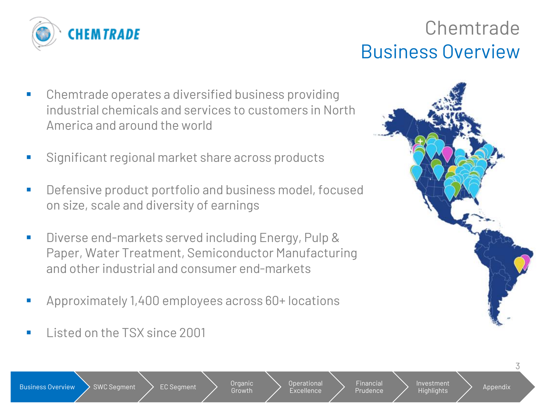

## Chemtrade Business Overview

- Chemtrade operates a diversified business providing industrial chemicals and services to customers in North America and around the world
- Significant regional market share across products
- Defensive product portfolio and business model, focused on size, scale and diversity of earnings
- Diverse end-markets served including Energy, Pulp & Paper, Water Treatment, Semiconductor Manufacturing and other industrial and consumer end-markets
- Approximately 1,400 employees across 60+ locations
- Listed on the TSX since 2001



Growth

Operational Excellence

Financial **Prudence**  Investment

Highlights > Appendix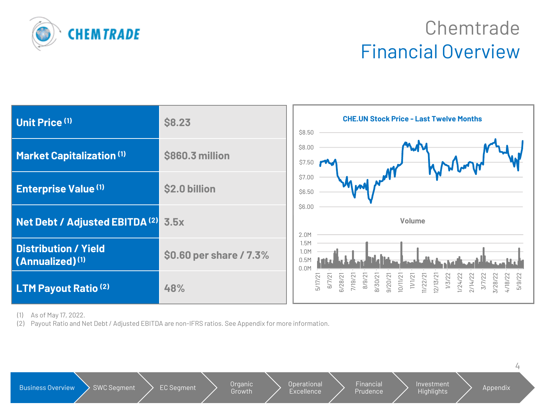

## **Chemtrade** Financial Overview



(1) As of May 17, 2022.

(2) Payout Ratio and Net Debt / Adjusted EBITDA are non-IFRS ratios. See Appendix for more information.

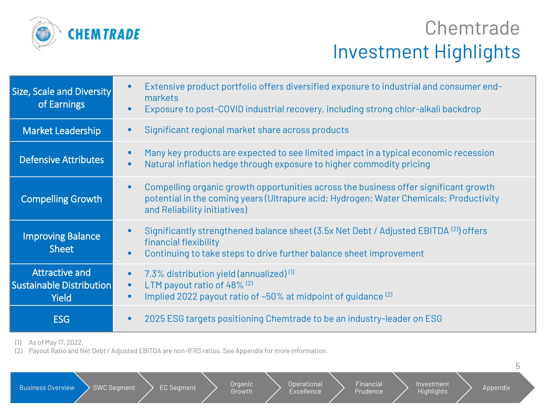

## **Chemtrade** Investment Highlights

| <b>Size, Scale and Diversity</b><br>of Earnings                          | Extensive product portfolio offers diversified exposure to industrial and consumer end-<br>markets<br>Exposure to post-COVID industrial recovery, including strong chlor-alkali backdrop                            |
|--------------------------------------------------------------------------|---------------------------------------------------------------------------------------------------------------------------------------------------------------------------------------------------------------------|
| <b>Market Leadership</b>                                                 | Significant regional market share across products                                                                                                                                                                   |
| <b>Defensive Attributes</b>                                              | Many key products are expected to see limited impact in a typical economic recession<br>٠<br>Natural inflation hedge through exposure to higher commodity pricing<br>٠                                              |
| <b>Compelling Growth</b>                                                 | Compelling organic growth opportunities across the business offer significant growth<br>٠<br>potential in the coming years (Ultrapure acid; Hydrogen; Water Chemicals; Productivity<br>and Reliability initiatives) |
| <b>Improving Balance</b><br><b>Sheet</b>                                 | Significantly strengthened balance sheet (3.5x Net Debt / Adjusted EBITDA <sup>(2)</sup> ) offers<br>financial flexibility<br>Continuing to take steps to drive further balance sheet improvement<br>٠              |
| <b>Attractive and</b><br><b>Sustainable Distribution</b><br><b>Yield</b> | 7.3% distribution yield (annualized) $(1)$<br>٠<br>LTM payout ratio of 48% (2)<br>٠<br>Implied 2022 payout ratio of $~50\%$ at midpoint of quidance $^{(2)}$                                                        |
| <b>ESG</b>                                                               | 2025 ESG targets positioning Chemtrade to be an industry-leader on ESG                                                                                                                                              |

(1) As of May 17, 2022.

(2) Payout Ratio and Net Debt / Adjusted EBITDA are non-IFRS ratios. See Appendix for more information.

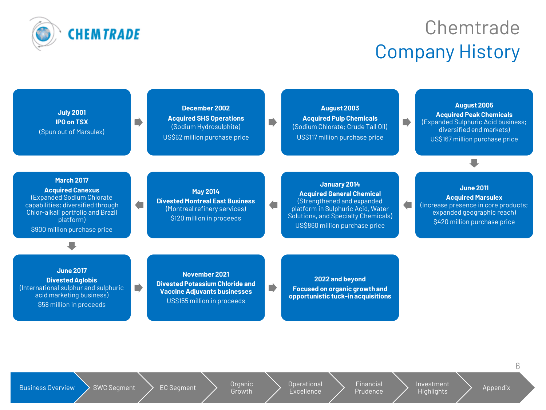

## Chemtrade Company History

П

| <b>July 2001</b>       |
|------------------------|
| <b>IPO on TSX</b>      |
| (Spun out of Marsulex) |

**December 2002 Acquired SHS Operations** (Sodium Hydrosulphite) US\$62 million purchase price

**August 2003 Acquired Pulp Chemicals**  (Sodium Chlorate; Crude Tall Oil) US\$117 million purchase price

**August 2005 Acquired Peak Chemicals**  (Expanded Sulphuric Acid business; diversified end markets) US\$167 million purchase price

#### **March 2017**

**Acquired Canexus**  (Expanded Sodium Chlorate capabilities; diversified through Chlor-alkali portfolio and Brazil platform) \$900 million purchase price

#### **May 2014 Divested Montreal East Business**  (Montreal refinery services) \$120 million in proceeds

#### **January 2014 Acquired General Chemical**  (Strengthened and expanded platform in Sulphuric Acid, Water Solutions, and Specialty Chemicals) US\$860 million purchase price

**June 2011 Acquired Marsulex**  $\sqrt{2}$ (Increase presence in core products; expanded geographic reach) \$420 million purchase price

**Divested Aglobis**  (International sulphur and sulphuric acid marketing business) \$58 million in proceeds

**June 2017**

**November 2021 Divested Potassium Chloride and Vaccine Adjuvants businesses** US\$155 million in proceeds

**2022 and beyond Focused on organic growth and opportunistic tuck-in acquisitions**

Business Overview  $\searrow$  SWC Segment  $\searrow$  EC Segment  $\searrow$  Organic

Growth

Operational **Excellence** 

 $\sqrt{2}$ 

 $\blacksquare$ 

**Financial** Prudence Investment  $H$ investifierit $\begin{array}{ccc} H & A & A \end{array}$  Appendix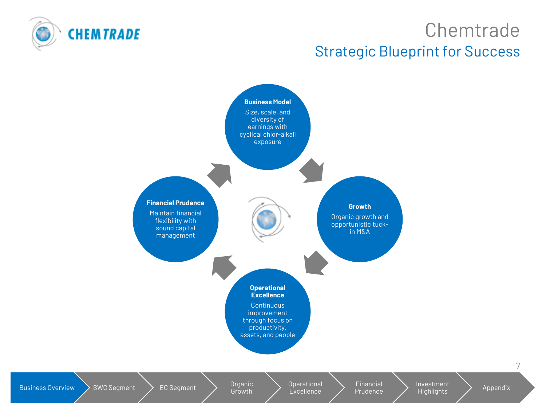

## **Chemtrade** Strategic Blueprint for Success

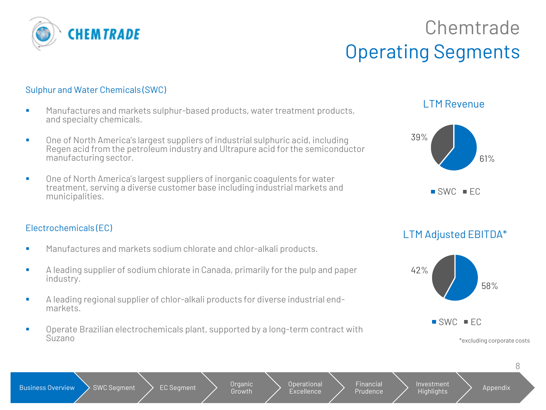

## Chemtrade Operating Segments

#### Sulphur and Water Chemicals (SWC)

- Manufactures and markets sulphur-based products, water treatment products, and specialty chemicals.
- One of North America's largest suppliers of industrial sulphuric acid, including Regen acid from the petroleum industry and Ultrapure acid for the semiconductor manufacturing sector.
- One of North America's largest suppliers of inorganic coagulents for water treatment, serving a diverse customer base including industrial markets and municipalities.

#### Electrochemicals (EC)

- Manufactures and markets sodium chlorate and chlor-alkali products.
- A leading supplier of sodium chlorate in Canada, primarily for the pulp and paper industry.
- A leading regional supplier of chlor-alkali products for diverse industrial endmarkets.
- Operate Brazilian electrochemicals plant, supported by a long-term contract with Suzano

#### LTM Revenue



LTM Adjusted EBITDA\*



\*excluding corporate costs

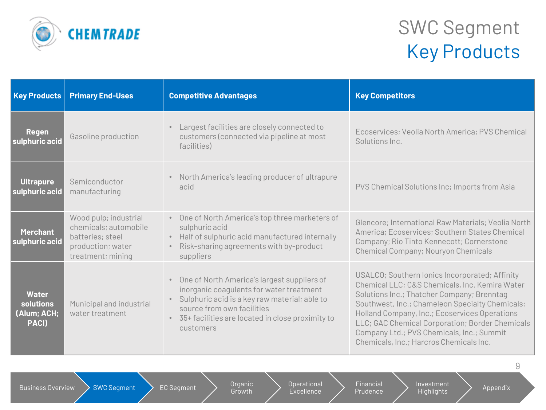

## SWC Segment Key Products

| <b>Key Products</b>                               | <b>Primary End-Uses</b>                                                                                      | <b>Competitive Advantages</b>                                                                                                                                                                                                             | <b>Key Competitors</b>                                                                                                                                                                                                                                                                                                                                                                        |
|---------------------------------------------------|--------------------------------------------------------------------------------------------------------------|-------------------------------------------------------------------------------------------------------------------------------------------------------------------------------------------------------------------------------------------|-----------------------------------------------------------------------------------------------------------------------------------------------------------------------------------------------------------------------------------------------------------------------------------------------------------------------------------------------------------------------------------------------|
| <b>Regen</b><br>sulphuric acid                    | Gasoline production                                                                                          | Largest facilities are closely connected to<br>customers (connected via pipeline at most<br>facilities)                                                                                                                                   | Ecoservices; Veolia North America; PVS Chemical<br>Solutions Inc.                                                                                                                                                                                                                                                                                                                             |
| <b>Ultrapure</b><br>sulphuric acid                | Semiconductor<br>manufacturing                                                                               | North America's leading producer of ultrapure<br>$\bullet$<br>acid                                                                                                                                                                        | PVS Chemical Solutions Inc; Imports from Asia                                                                                                                                                                                                                                                                                                                                                 |
| <b>Merchant</b><br>sulphuric acid                 | Wood pulp; industrial<br>chemicals; automobile<br>batteries; steel<br>production; water<br>treatment; mining | One of North America's top three marketers of<br>sulphuric acid<br>Half of sulphuric acid manufactured internally<br>Risk-sharing agreements with by-product<br>suppliers                                                                 | Glencore; International Raw Materials; Veolia North<br>America; Ecoservices; Southern States Chemical<br>Company; Rio Tinto Kennecott; Cornerstone<br>Chemical Company; Nouryon Chemicals                                                                                                                                                                                                     |
| <b>Water</b><br>solutions<br>(Alum; ACH;<br>PACI) | Municipal and industrial<br>water treatment                                                                  | One of North America's largest suppliers of<br>inorganic coagulents for water treatment<br>Sulphuric acid is a key raw material; able to<br>source from own facilities<br>• 35+ facilities are located in close proximity to<br>customers | USALCO; Southern lonics Incorporated; Affinity<br>Chemical LLC; C&S Chemicals, Inc. Kemira Water<br>Solutions Inc.; Thatcher Company; Brenntag<br>Southwest, Inc.; Chameleon Specialty Chemicals;<br>Holland Company, Inc.; Ecoservices Operations<br>LLC; GAC Chemical Corporation; Border Chemicals<br>Company Ltd.; PVS Chemicals, Inc.; Summit<br>Chemicals, Inc.; Harcros Chemicals Inc. |

Business Overview  $\searrow$  SWC Segment  $\searrow$  EC Segment  $\searrow$  Organic

Growth

Operational **Excellence** 

Financial Prudence Investment Highlights **Appendix**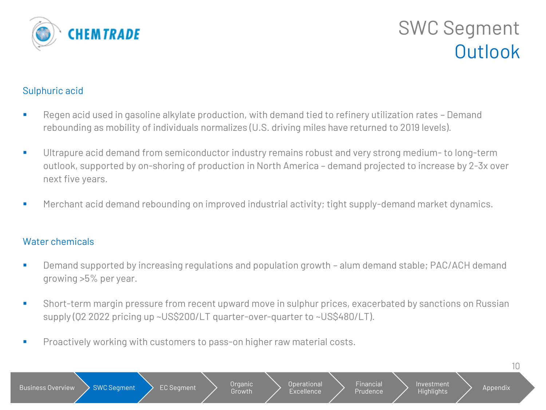

## SWC Segment **Outlook**

#### Sulphuric acid

- Regen acid used in gasoline alkylate production, with demand tied to refinery utilization rates Demand rebounding as mobility of individuals normalizes (U.S. driving miles have returned to 2019 levels).
- Ultrapure acid demand from semiconductor industry remains robust and very strong medium- to long-term outlook, supported by on-shoring of production in North America – demand projected to increase by 2-3x over next five years.
- Merchant acid demand rebounding on improved industrial activity; tight supply-demand market dynamics.

#### Water chemicals

- Demand supported by increasing regulations and population growth alum demand stable; PAC/ACH demand growing >5% per year.
- Short-term margin pressure from recent upward move in sulphur prices, exacerbated by sanctions on Russian supply (Q2 2022 pricing up ~US\$200/LT quarter-over-quarter to ~US\$480/LT).
- **Proactively working with customers to pass-on higher raw material costs.**

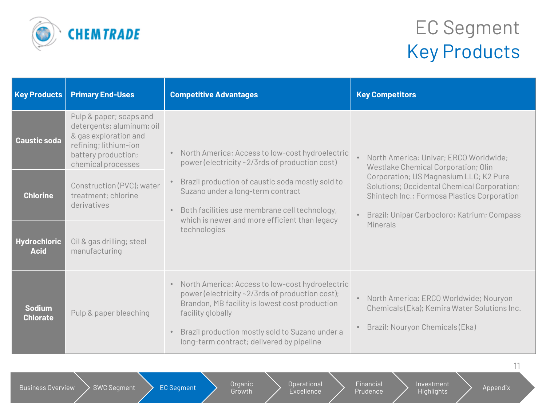

## EC Segment Key Products

| <b>Key Products</b>                | <b>Primary End-Uses</b>                                                                                                                             | <b>Competitive Advantages</b>                                                                                                                                                                                                                                             | <b>Key Competitors</b>                                                                                                                                                              |  |
|------------------------------------|-----------------------------------------------------------------------------------------------------------------------------------------------------|---------------------------------------------------------------------------------------------------------------------------------------------------------------------------------------------------------------------------------------------------------------------------|-------------------------------------------------------------------------------------------------------------------------------------------------------------------------------------|--|
| <b>Caustic soda</b>                | Pulp & paper; soaps and<br>detergents; aluminum; oil<br>& gas exploration and<br>refining; lithium-ion<br>battery production;<br>chemical processes | • North America: Access to low-cost hydroelectric<br>power (electricity ~2/3rds of production cost)                                                                                                                                                                       | North America: Univar; ERCO Worldwide;<br>Westlake Chemical Corporation; Olin                                                                                                       |  |
| <b>Chlorine</b>                    | Construction (PVC); water<br>treatment; chlorine<br>derivatives                                                                                     | Brazil production of caustic soda mostly sold to<br>Suzano under a long-term contract<br>Both facilities use membrane cell technology,                                                                                                                                    | Corporation; US Magnesium LLC; K2 Pure<br>Solutions; Occidental Chemical Corporation;<br>Shintech Inc.; Formosa Plastics Corporation<br>Brazil: Unipar Carbocloro; Katrium; Compass |  |
| <b>Hydrochloric</b><br><b>Acid</b> | Oil & gas drilling; steel<br>manufacturing                                                                                                          | which is newer and more efficient than legacy<br>technologies                                                                                                                                                                                                             | <b>Minerals</b>                                                                                                                                                                     |  |
| <b>Sodium</b><br><b>Chlorate</b>   | Pulp & paper bleaching                                                                                                                              | North America: Access to low-cost hydroelectric<br>power (electricity ~2/3rds of production cost);<br>Brandon, MB facility is lowest cost production<br>facility globally<br>Brazil production mostly sold to Suzano under a<br>long-term contract; delivered by pipeline | • North America: ERCO Worldwide; Nouryon<br>Chemicals (Eka); Kemira Water Solutions Inc.<br>Brazil: Nouryon Chemicals (Eka)                                                         |  |

Growth

Operational **Excellence** 

Financial Prudence Investment Highlights ) Appendix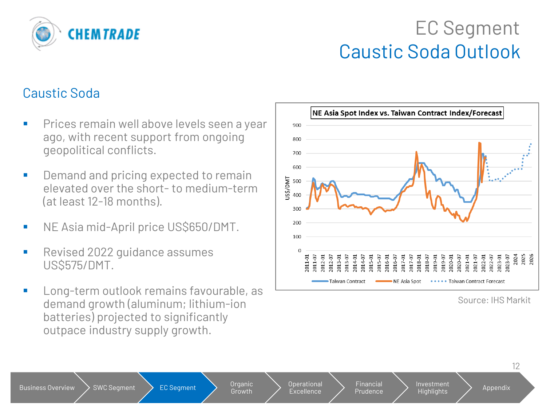

## EC Segment Caustic Soda Outlook

#### Caustic Soda

- **·** Prices remain well above levels seen a year ago, with recent support from ongoing geopolitical conflicts.
- Demand and pricing expected to remain elevated over the short- to medium-term (at least 12-18 months).
- NE Asia mid-April price US\$650/DMT.
- Revised 2022 guidance assumes US\$575/DMT.
- Long-term outlook remains favourable, as demand growth (aluminum; lithium-ion batteries) projected to significantly outpace industry supply growth.



Source: IHS Markit

Growth

Operational Excellence

Financial Prudence

Investment Highlights > Appendix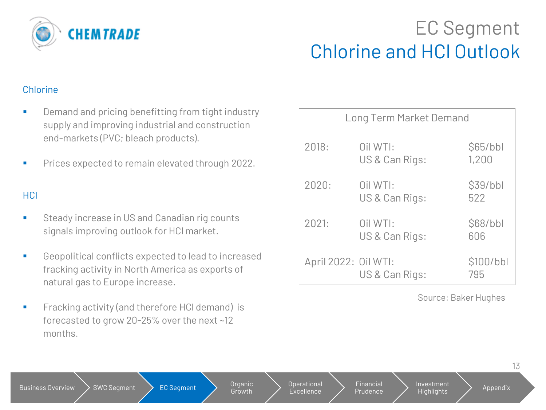

## EC Segment Chlorine and HCl Outlook

#### Chlorine

- Demand and pricing benefitting from tight industry supply and improving industrial and construction end-markets (PVC; bleach products).
- Prices expected to remain elevated through 2022.

#### **HCl**

- Steady increase in US and Canadian rig counts signals improving outlook for HCl market.
- Geopolitical conflicts expected to lead to increased fracking activity in North America as exports of natural gas to Europe increase.
- Fracking activity (and therefore HCl demand) is forecasted to grow 20-25% over the next ~12 months.

|                      | <b>Long Term Market Demand</b> |                   |
|----------------------|--------------------------------|-------------------|
| 2018:                | Oil WTI:<br>US & Can Rigs:     | \$65/bbl<br>1,200 |
| 2020:                | Oil WTI:<br>US & Can Rigs:     | \$39/bbl<br>522   |
| 2021:                | Oil WTI:<br>US & Can Rigs:     | \$68/bbl<br>606   |
| April 2022: Oil WTI: | US & Can Rigs:                 | \$100/bbl<br>795  |

Source: Baker Hughes

| SWC Segment<br><b>Business Overview</b> | Organic<br>EC Segment<br>Growth <sup>\</sup> | Operational<br>Excellence | Financial<br>Investment<br>Highlights'<br>Prudence |
|-----------------------------------------|----------------------------------------------|---------------------------|----------------------------------------------------|
|-----------------------------------------|----------------------------------------------|---------------------------|----------------------------------------------------|

13

Appendix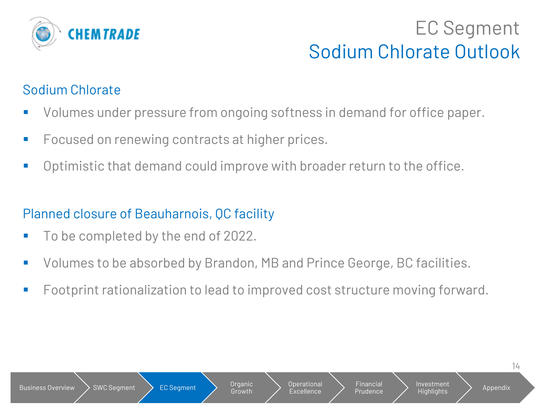

## EC Segment Sodium Chlorate Outlook

#### Sodium Chlorate

- Volumes under pressure from ongoing softness in demand for office paper.
- Focused on renewing contracts at higher prices.
- Optimistic that demand could improve with broader return to the office.

### Planned closure of Beauharnois, QC facility

- To be completed by the end of 2022.
- Volumes to be absorbed by Brandon, MB and Prince George, BC facilities.
- Footprint rationalization to lead to improved cost structure moving forward.

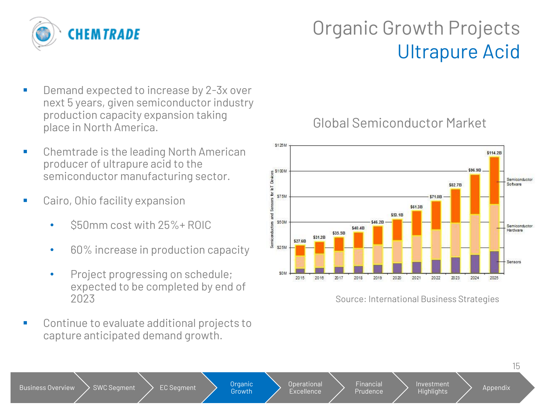

## Organic Growth Projects Ultrapure Acid

- Demand expected to increase by 2-3x over next 5 years, given semiconductor industry production capacity expansion taking place in North America.
- Chemtrade is the leading North American producer of ultrapure acid to the semiconductor manufacturing sector.
- Cairo, Ohio facility expansion
	- \$50mm cost with 25%+ ROIC
	- 60% increase in production capacity
	- Project progressing on schedule; expected to be completed by end of 2023
- Continue to evaluate additional projects to capture anticipated demand growth.

Global Semiconductor Market



Source: International Business Strategies



\$125M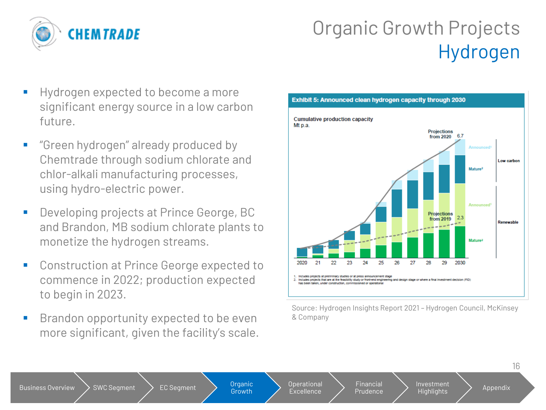

## Organic Growth Projects Hydrogen

- Hydrogen expected to become a more significant energy source in a low carbon future.
- "Green hydrogen" already produced by Chemtrade through sodium chlorate and chlor-alkali manufacturing processes, using hydro-electric power.
- Developing projects at Prince George, BC and Brandon, MB sodium chlorate plants to monetize the hydrogen streams.
- Construction at Prince George expected to commence in 2022; production expected to begin in 2023.
- Brandon opportunity expected to be even more significant, given the facility's scale.



Source: Hydrogen Insights Report 2021 – Hydrogen Council, McKinsey & Company

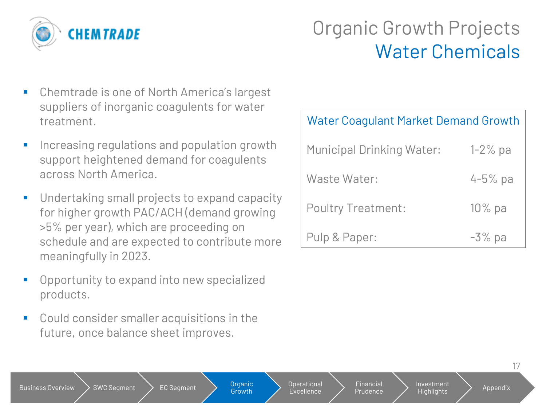

## Organic Growth Projects Water Chemicals

- Chemtrade is one of North America's largest suppliers of inorganic coagulents for water treatment.
- Increasing regulations and population growth support heightened demand for coagulents across North America.
- Undertaking small projects to expand capacity for higher growth PAC/ACH (demand growing >5% per year), which are proceeding on schedule and are expected to contribute more meaningfully in 2023.
- Opportunity to expand into new specialized products.
- Could consider smaller acquisitions in the future, once balance sheet improves.

Business Overview  $\searrow$  SWC Segment  $\searrow$  EC Segment  $\searrow$  Organic

**Growth** 

Operational **Excellence** 

Financial Prudence

| <b>Water Coaqulant Market Demand Growth</b> |              |  |  |  |
|---------------------------------------------|--------------|--|--|--|
| <b>Municipal Drinking Water:</b>            | $1 - 2\%$ pa |  |  |  |
| Waste Water:                                | $4 - 5%$ pa  |  |  |  |
| <b>Poultry Treatment:</b>                   | $10\%$ pa    |  |  |  |
| Pulp & Paper:                               | $-3\%$ pa    |  |  |  |

Investment

Highlights > Appendix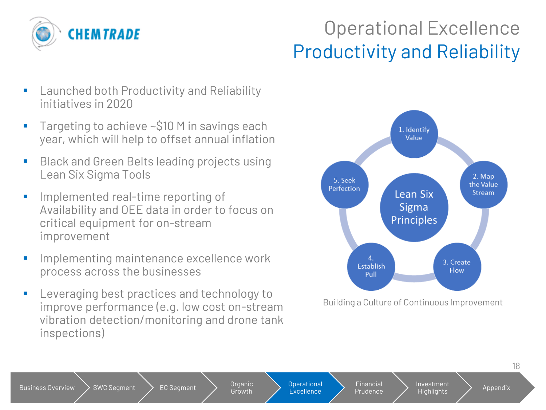

## Operational Excellence Productivity and Reliability

- Launched both Productivity and Reliability initiatives in 2020
- Targeting to achieve ~\$10 M in savings each year, which will help to offset annual inflation
- Black and Green Belts leading projects using Lean Six Sigma Tools
- Implemented real-time reporting of Availability and OEE data in order to focus on critical equipment for on-stream improvement
- Implementing maintenance excellence work process across the businesses
- Leveraging best practices and technology to improve performance (e.g. low cost on-stream vibration detection/monitoring and drone tank inspections)



Building a Culture of Continuous Improvement

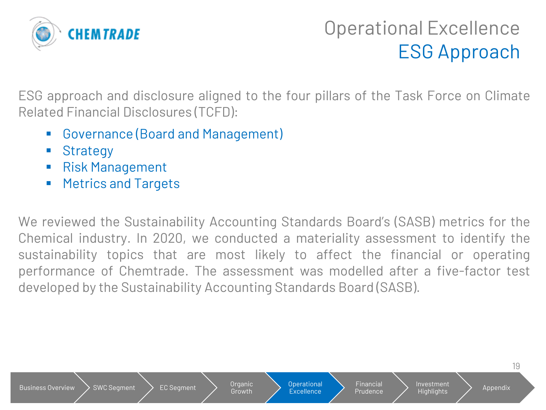

## Operational Excellence ESG Approach

ESG approach and disclosure aligned to the four pillars of the Task Force on Climate Related Financial Disclosures (TCFD):

- Governance (Board and Management)
- Strategy
- Risk Management
- Metrics and Targets

We reviewed the Sustainability Accounting Standards Board's (SASB) metrics for the Chemical industry. In 2020, we conducted a materiality assessment to identify the sustainability topics that are most likely to affect the financial or operating performance of Chemtrade. The assessment was modelled after a five-factor test developed by the Sustainability Accounting Standards Board (SASB).

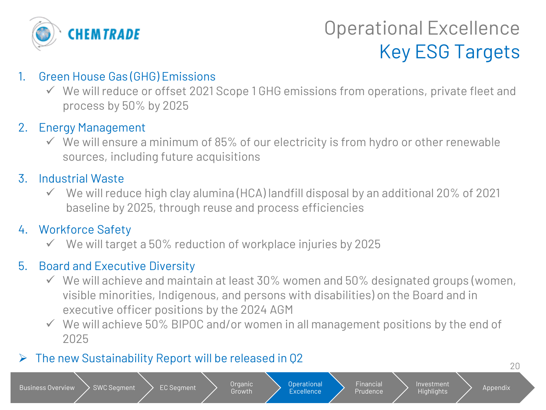

## Operational Excellence Key ESG Targets

20

#### 1. Green House Gas (GHG) Emissions

✓ We will reduce or offset 2021 Scope 1 GHG emissions from operations, private fleet and process by 50% by 2025

#### 2. Energy Management

 $\checkmark$  We will ensure a minimum of 85% of our electricity is from hydro or other renewable sources, including future acquisitions

#### 3. Industrial Waste

 $\checkmark$  We will reduce high clay alumina (HCA) landfill disposal by an additional 20% of 2021 baseline by 2025, through reuse and process efficiencies

#### 4. Workforce Safety

We will target a 50% reduction of workplace injuries by 2025

#### 5. Board and Executive Diversity

- $\checkmark$  We will achieve and maintain at least 30% women and 50% designated groups (women, visible minorities, Indigenous, and persons with disabilities) on the Board and in executive officer positions by the 2024 AGM
- $\checkmark$  We will achieve 50% BIPOC and/or women in all management positions by the end of 2025

Operational **Excellence** 

Financial Prudence Investment

Highlights > Appendix

Growth

#### $\triangleright$  The new Sustainability Report will be released in Q2

Business Overview  $\searrow$  SWC Segment  $\searrow$  EC Segment  $\searrow$  Organic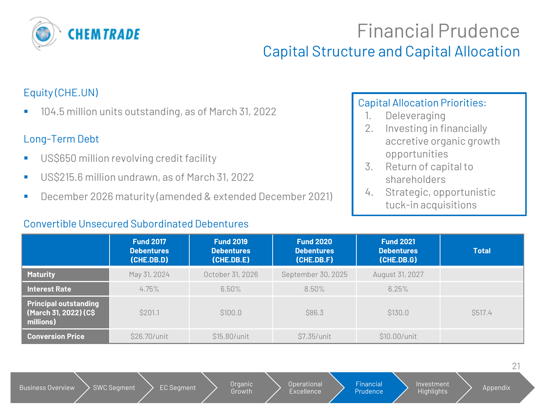

## Financial Prudence

#### Capital Structure and Capital Allocation

#### Equity (CHE.UN)

■ 104.5 million units outstanding, as of March 31, 2022

#### Long-Term Debt

- US\$650 million revolving credit facility
- US\$215.6 million undrawn, as of March 31, 2022
- December 2026 maturity (amended & extended December 2021)

#### Convertible Unsecured Subordinated Debentures

#### Capital Allocation Priorities:

- 1. Deleveraging
- 2. Investing in financially accretive organic growth opportunities
- 3. Return of capital to shareholders
- 4. Strategic, opportunistic tuck-in acquisitions

|                                                                    | <b>Fund 2017</b><br><b>Debentures</b><br>(CHE.DB.D) | <b>Fund 2019</b><br><b>Debentures</b><br>(CHE.DB.E) | <b>Fund 2020</b><br><b>Debentures</b><br>(CHE.DB.F) | <b>Fund 2021</b><br><b>Debentures</b><br>(CHE.DB.G) | <b>Total</b>   |
|--------------------------------------------------------------------|-----------------------------------------------------|-----------------------------------------------------|-----------------------------------------------------|-----------------------------------------------------|----------------|
| <b>Maturity</b>                                                    | May 31, 2024                                        | October 31, 2026                                    | September 30, 2025                                  | August 31, 2027                                     |                |
| <b>Interest Rate</b>                                               | 4.75%                                               | 6.50%                                               | $8.50\%$                                            | 6.25%                                               |                |
| <b>Principal outstanding</b><br>(March 31, 2022) (C\$<br>millions) | \$201.1                                             | \$100.0                                             | \$86.3                                              | \$130.0                                             | <b>\$517.4</b> |
| <b>Conversion Price</b>                                            | \$26.70/unit                                        | \$15.80/unit                                        | \$7.35/unit                                         | \$10.00/unit                                        |                |

Growth

Operational Excellence Financial Prudence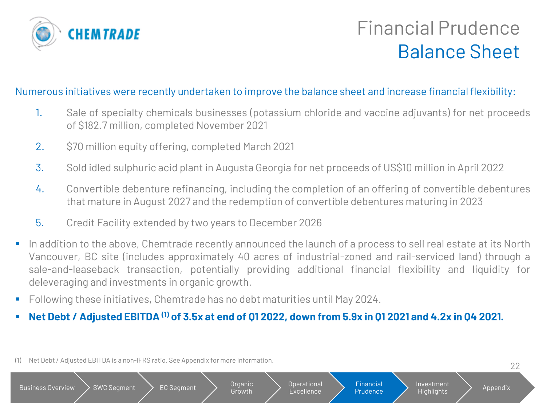

## Financial Prudence Balance Sheet

#### Numerous initiatives were recently undertaken to improve the balance sheet and increase financial flexibility:

- 1. Sale of specialty chemicals businesses (potassium chloride and vaccine adjuvants) for net proceeds of \$182.7 million, completed November 2021
- 2. \$70 million equity offering, completed March 2021
- 3. Sold idled sulphuric acid plant in Augusta Georgia for net proceeds of US\$10 million in April 2022
- 4. Convertible debenture refinancing, including the completion of an offering of convertible debentures that mature in August 2027 and the redemption of convertible debentures maturing in 2023
- 5. Credit Facility extended by two years to December 2026
- In addition to the above, Chemtrade recently announced the launch of a process to sell real estate at its North Vancouver, BC site (includes approximately 40 acres of industrial-zoned and rail-serviced land) through a sale-and-leaseback transaction, potentially providing additional financial flexibility and liquidity for deleveraging and investments in organic growth.
- Following these initiatives, Chemtrade has no debt maturities until May 2024.
- Net Debt / Adjusted EBITDA<sup>(1)</sup> of 3.5x at end of 01 2022, down from 5.9x in 01 2021 and 4.2x in 04 2021.
- (1) Net Debt / Adjusted EBITDA is a non-IFRS ratio. See Appendix for more information.

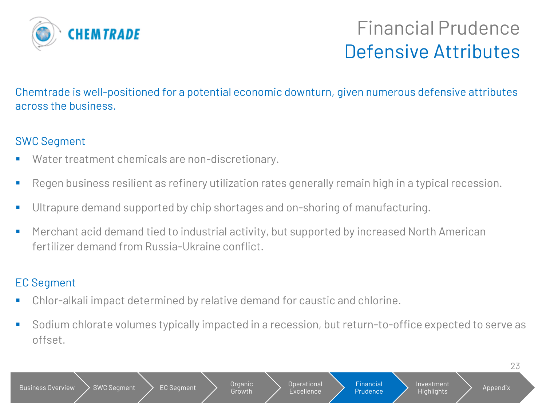

## Financial Prudence Defensive Attributes

Chemtrade is well-positioned for a potential economic downturn, given numerous defensive attributes across the business.

#### SWC Segment

- Water treatment chemicals are non-discretionary.
- Regen business resilient as refinery utilization rates generally remain high in a typical recession.
- **■** Ultrapure demand supported by chip shortages and on-shoring of manufacturing.
- Merchant acid demand tied to industrial activity, but supported by increased North American fertilizer demand from Russia-Ukraine conflict.

#### EC Segment

- Chlor-alkali impact determined by relative demand for caustic and chlorine.
- Sodium chlorate volumes typically impacted in a recession, but return-to-office expected to serve as offset.

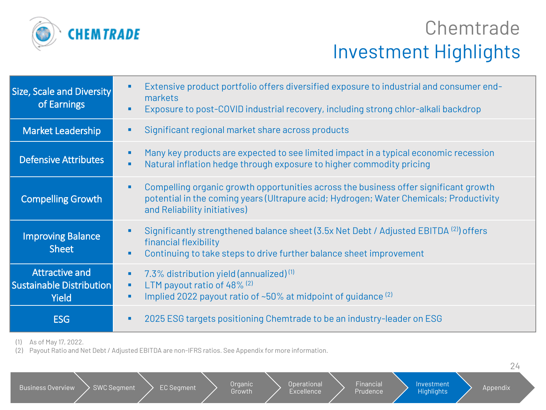

## **Chemtrade** Investment Highlights

| <b>Size, Scale and Diversity</b><br>of Earnings                          | Extensive product portfolio offers diversified exposure to industrial and consumer end-<br>markets<br>Exposure to post-COVID industrial recovery, including strong chlor-alkali backdrop                       |
|--------------------------------------------------------------------------|----------------------------------------------------------------------------------------------------------------------------------------------------------------------------------------------------------------|
| <b>Market Leadership</b>                                                 | Significant regional market share across products                                                                                                                                                              |
| <b>Defensive Attributes</b>                                              | Many key products are expected to see limited impact in a typical economic recession<br>Natural inflation hedge through exposure to higher commodity pricing<br>٠                                              |
| <b>Compelling Growth</b>                                                 | Compelling organic growth opportunities across the business offer significant growth<br>potential in the coming years (Ultrapure acid; Hydrogen; Water Chemicals; Productivity<br>and Reliability initiatives) |
| <b>Improving Balance</b><br><b>Sheet</b>                                 | Significantly strengthened balance sheet (3.5x Net Debt / Adjusted EBITDA (2) offers<br>financial flexibility<br>Continuing to take steps to drive further balance sheet improvement                           |
| <b>Attractive and</b><br><b>Sustainable Distribution</b><br><b>Yield</b> | 7.3% distribution yield (annualized) $(1)$<br>٠<br>LTM payout ratio of 48% (2)<br>٠<br>Implied 2022 payout ratio of $~50\%$ at midpoint of quidance $^{(2)}$                                                   |
| <b>ESG</b>                                                               | 2025 ESG targets positioning Chemtrade to be an industry-leader on ESG                                                                                                                                         |

(1) As of May 17, 2022.

(2) Payout Ratio and Net Debt / Adjusted EBITDA are non-IFRS ratios. See Appendix for more information.

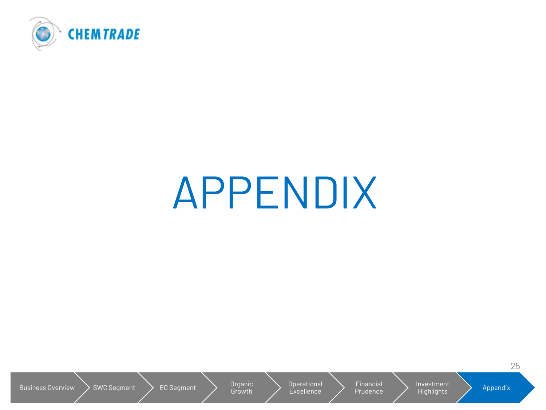

# APPENDIX

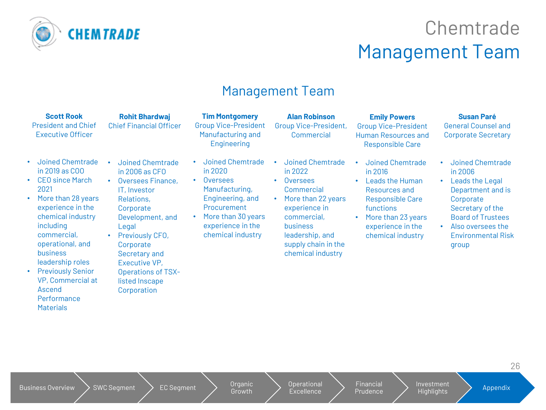

## **Chemtrade** Management Team

#### Management Team

|                                      | <b>Scott Rook</b><br><b>President and Chief</b><br><b>Executive Officer</b>                                                                                                                                     | <b>Rohit Bhardwaj</b><br><b>Chief Financial Officer</b>                                                                                                                                                                                                             | <b>Tim Montgomery</b><br><b>Group Vice-President</b><br>Manufacturing and<br>Engineering                                                                                                                   | <b>Alan Robinson</b><br><b>Group Vice-President,</b><br>Commercial                                                                                                                            | <b>Emily Powers</b><br><b>Group Vice-President</b><br><b>Human Resources and</b><br><b>Responsible Care</b>                                                                          | <b>Susan Paré</b><br><b>General Counsel and</b><br><b>Corporate Secretary</b>                                                                                                                    |
|--------------------------------------|-----------------------------------------------------------------------------------------------------------------------------------------------------------------------------------------------------------------|---------------------------------------------------------------------------------------------------------------------------------------------------------------------------------------------------------------------------------------------------------------------|------------------------------------------------------------------------------------------------------------------------------------------------------------------------------------------------------------|-----------------------------------------------------------------------------------------------------------------------------------------------------------------------------------------------|--------------------------------------------------------------------------------------------------------------------------------------------------------------------------------------|--------------------------------------------------------------------------------------------------------------------------------------------------------------------------------------------------|
| 2021<br>including<br><b>business</b> | Joined Chemtrade<br>in 2019 as COO<br><b>CEO</b> since March<br>More than 28 years<br>experience in the<br>chemical industry<br>commercial,<br>operational, and<br>leadership roles<br><b>Previously Senior</b> | Joined Chemtrade<br>$\bullet$<br>in $2006$ as $CFO$<br><b>Oversees Finance,</b><br>$\bullet$<br>IT, Investor<br>Relations,<br>Corporate<br>Development, and<br>Legal<br>Previously CFO,<br>Corporate<br>Secretary and<br>Executive VP,<br><b>Operations of TSX-</b> | Joined Chemtrade<br>$\bullet$<br>in 2020<br><b>Oversees</b><br>$\bullet$<br>Manufacturing,<br>Engineering, and<br>Procurement<br>More than 30 years<br>$\bullet$<br>experience in the<br>chemical industry | Joined Chemtrade<br>in 2022<br>Oversees<br>Commercial<br>More than 22 years<br>experience in<br>commercial,<br><b>business</b><br>leadership, and<br>supply chain in the<br>chemical industry | Joined Chemtrade<br>in 2016<br>Leads the Human<br>$\bullet$<br>Resources and<br><b>Responsible Care</b><br>functions<br>More than 23 years<br>experience in the<br>chemical industry | Joined Chemtrade<br>in 2006<br>Leads the Legal<br>۰<br>Department and is<br>Corporate<br>Secretary of the<br><b>Board of Trustees</b><br>Also oversees the<br><b>Environmental Risk</b><br>group |

• Previously Senior VP, Commercial at Ascend **Performance Materials** 

listed Inscape Corporation

Growth

Operational **Excellence** 

Financial Prudence Investment Investment<br>Highlights **Appendix**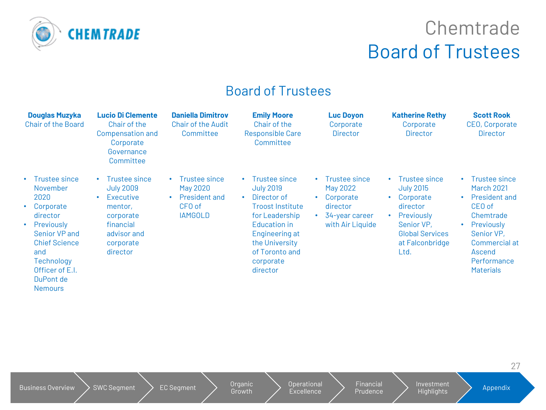

## **Chemtrade** Board of Trustees

#### Board of Trustees

| <b>Douglas Muzyka</b><br><b>Chair of the Board</b>                                                                                                                                                                   | <b>Lucio Di Clemente</b><br>Chair of the<br><b>Compensation and</b><br>Corporate<br>Governance<br>Committee                                                  | <b>Daniella Dimitrov</b><br><b>Chair of the Audit</b><br>Committee     | <b>Emily Moore</b><br>Chair of the<br><b>Responsible Care</b><br>Committee                                                                                                                                               | <b>Luc Doyon</b><br>Corporate<br><b>Director</b>                                         | <b>Katherine Rethy</b><br>Corporate<br><b>Director</b>                                                                                                                  | <b>Scott Rook</b><br>CEO, Corporate<br><b>Director</b>                                                                                                                                                     |
|----------------------------------------------------------------------------------------------------------------------------------------------------------------------------------------------------------------------|--------------------------------------------------------------------------------------------------------------------------------------------------------------|------------------------------------------------------------------------|--------------------------------------------------------------------------------------------------------------------------------------------------------------------------------------------------------------------------|------------------------------------------------------------------------------------------|-------------------------------------------------------------------------------------------------------------------------------------------------------------------------|------------------------------------------------------------------------------------------------------------------------------------------------------------------------------------------------------------|
| • Trustee since<br>November<br>2020<br>Corporate<br>$\bullet$<br>director<br>Previously<br>$\bullet$<br>Senior VP and<br><b>Chief Science</b><br>and<br>Technology<br>Officer of E.I.<br>DuPont de<br><b>Nemours</b> | <b>Trustee since</b><br>$\bullet$<br><b>July 2009</b><br>Executive<br>$\bullet$<br>mentor,<br>corporate<br>financial<br>advisor and<br>corporate<br>director | Trustee since<br>May 2020<br>President and<br>CFO of<br><b>IAMGOLD</b> | Trustee since<br>$\bullet$ .<br><b>July 2019</b><br>Director of<br>$\bullet$<br><b>Troost Institute</b><br>for Leadership<br>Education in<br>Engineering at<br>the University<br>of Toronto and<br>corporate<br>director | Trustee since<br>May 2022<br>Corporate<br>director<br>34-year career<br>with Air Liquide | • Trustee since<br><b>July 2015</b><br>Corporate<br>$\bullet$<br>director<br>Previously<br>$\bullet$<br>Senior VP,<br><b>Global Services</b><br>at Falconbridge<br>Ltd. | Trustee since<br>٠<br><b>March 2021</b><br><b>President and</b><br>$\bullet$<br>CEO of<br>Chemtrade<br>Previously<br>$\bullet$<br>Senior VP,<br>Commercial at<br>Ascend<br>Performance<br><b>Materials</b> |

Growth

Operational **Excellence**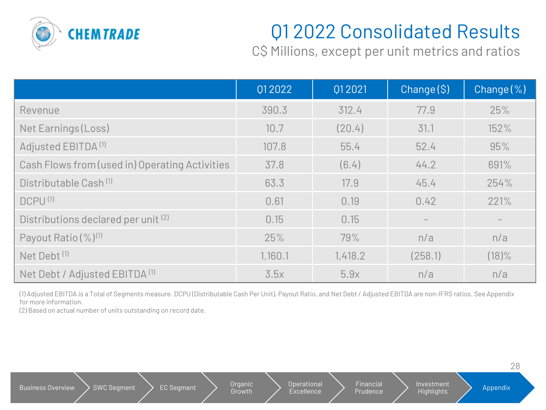

## Q1 2022 Consolidated Results

C\$ Millions, except per unit metrics and ratios

|                                                | 012022  | 012021  | Change(S) | Change $(\%)$ |
|------------------------------------------------|---------|---------|-----------|---------------|
| Revenue                                        | 390.3   | 312.4   | 77.9      | 25%           |
| Net Earnings (Loss)                            | 10.7    | (20.4)  | 31.1      | 152%          |
| Adjusted EBITDA <sup>(1)</sup>                 | 107.8   | 55.4    | 52.4      | 95%           |
| Cash Flows from (used in) Operating Activities | 37.8    | (6.4)   | 44.2      | 691%          |
| Distributable Cash <sup>(1)</sup>              | 63.3    | 17.9    | 45.4      | 254%          |
| DCPU <sup>(1)</sup>                            | 0.61    | 0.19    | 0.42      | 221%          |
| Distributions declared per unit (2)            | 0.15    | 0.15    |           |               |
| Payout Ratio (%) <sup>(1)</sup>                | 25%     | 79%     | n/a       | n/a           |
| Net Debt <sup>(1)</sup>                        | 1,160.1 | 1,418.2 | (258.1)   | $(18)\%$      |
| Net Debt / Adjusted EBITDA <sup>(1)</sup>      | 3.5x    | 5.9x    | n/a       | n/a           |

(1) Adjusted EBITDA is a Total of Segments measure. DCPU (Distributable Cash Per Unit), Payout Ratio, and Net Debt / Adjusted EBITDA are non-IFRS ratios. See Appendix for more information.

(2) Based on actual number of units outstanding on record date.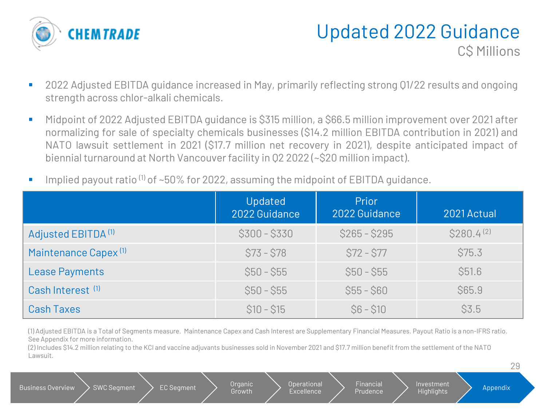

#### Updated 2022 Guidance C\$ Millions

29

- 2022 Adjusted EBITDA guidance increased in May, primarily reflecting strong 01/22 results and ongoing strength across chlor-alkali chemicals.
- Midpoint of 2022 Adjusted EBITDA guidance is \$315 million, a \$66.5 million improvement over 2021 after normalizing for sale of specialty chemicals businesses (\$14.2 million EBITDA contribution in 2021) and NATO lawsuit settlement in 2021 (\$17.7 million net recovery in 2021), despite anticipated impact of biennial turnaround at North Vancouver facility in Q2 2022 (~\$20 million impact).
- Implied payout ratio  $(1)$  of ~50% for 2022, assuming the midpoint of EBITDA guidance.

|                                  | Updated<br>2022 Guidance | Prior<br>2022 Guidance | 2021 Actual     |
|----------------------------------|--------------------------|------------------------|-----------------|
| Adjusted EBITDA <sup>(1)</sup>   | $$300 - $330$            | $$265 - $295$          | $$280.4^{(2)}$$ |
| Maintenance Capex <sup>(1)</sup> | $$73 - $78$              | $$72 - $77$            | \$75.3          |
| <b>Lease Payments</b>            | $$50 - $55$              | $$50 - $55$            | \$51.6          |
| Cash Interest <sup>(1)</sup>     | $$50 - $55$              | $$55 - $60$            | \$65.9          |
| <b>Cash Taxes</b>                | $$10 - $15$              | $$6 - $10$             | \$3.5           |

(1) Adjusted EBITDA is a Total of Segments measure. Maintenance Capex and Cash Interest are Supplementary Financial Measures. Payout Ratio is a non-IFRS ratio. See Appendix for more information.

(2) Includes \$14.2 million relating to the KCl and vaccine adjuvants businesses sold in November 2021 and \$17.7 million benefit from the settlement of the NATO Lawsuit.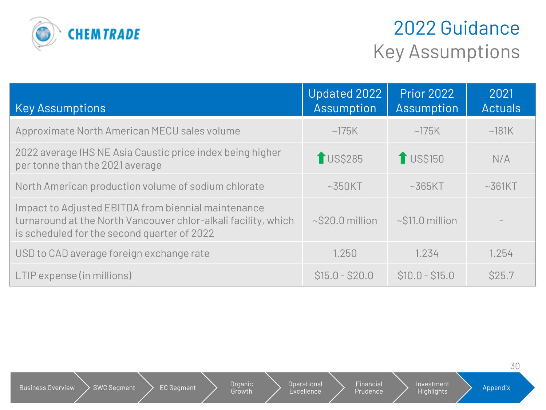

## 2022 Guidance Key Assumptions

| <b>Key Assumptions</b>                                                                                                                                               | Updated 2022<br>Assumption | <b>Prior 2022</b><br>Assumption | 2021<br><b>Actuals</b> |
|----------------------------------------------------------------------------------------------------------------------------------------------------------------------|----------------------------|---------------------------------|------------------------|
| Approximate North American MECU sales volume                                                                                                                         | ~175K                      | ~175K                           | ~181K                  |
| 2022 average IHS NE Asia Caustic price index being higher<br>per tonne than the 2021 average                                                                         | <b>TUS\$285</b>            | <b>1</b> US\$150                | N/A                    |
| North American production volume of sodium chlorate                                                                                                                  | $~550$ KT                  | $~\sim$ 365KT                   | $~\sim$ 361KT          |
| Impact to Adjusted EBITDA from biennial maintenance<br>turnaround at the North Vancouver chlor-alkali facility, which<br>is scheduled for the second quarter of 2022 | $\sim$ \$20.0 million      | $\sim$ \$11.0 million           |                        |
| USD to CAD average foreign exchange rate                                                                                                                             | 1.250                      | 1.234                           | 1.254                  |
| LTIP expense (in millions)                                                                                                                                           | $$15.0 - $20.0$            | $$10.0 - $15.0$                 | <b>\$25.7</b>          |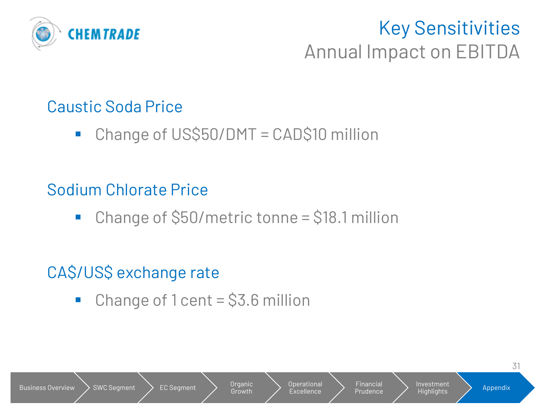

## Key Sensitivities Annual Impact on EBITDA

## Caustic Soda Price

■ Change of US\$50/DMT = CAD\$10 million

## Sodium Chlorate Price

■ Change of \$50/metric tonne = \$18.1 million

## CA\$/US\$ exchange rate

 $\blacksquare$  Change of 1 cent = \$3.6 million

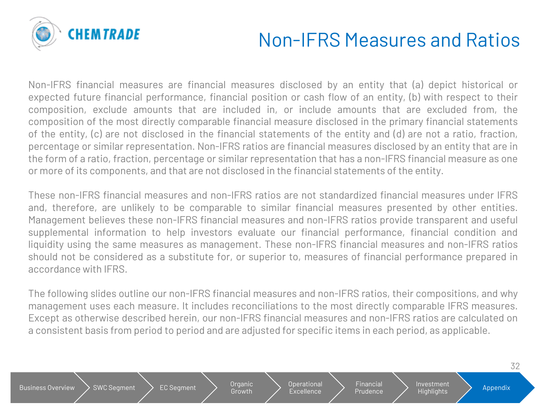

Non-IFRS financial measures are financial measures disclosed by an entity that (a) depict historical or expected future financial performance, financial position or cash flow of an entity, (b) with respect to their composition, exclude amounts that are included in, or include amounts that are excluded from, the composition of the most directly comparable financial measure disclosed in the primary financial statements of the entity, (c) are not disclosed in the financial statements of the entity and (d) are not a ratio, fraction, percentage or similar representation. Non-IFRS ratios are financial measures disclosed by an entity that are in the form of a ratio, fraction, percentage or similar representation that has a non-IFRS financial measure as one or more of its components, and that are not disclosed in the financial statements of the entity.

These non-IFRS financial measures and non-IFRS ratios are not standardized financial measures under IFRS and, therefore, are unlikely to be comparable to similar financial measures presented by other entities. Management believes these non-IFRS financial measures and non-IFRS ratios provide transparent and useful supplemental information to help investors evaluate our financial performance, financial condition and liquidity using the same measures as management. These non-IFRS financial measures and non-IFRS ratios should not be considered as a substitute for, or superior to, measures of financial performance prepared in accordance with IFRS.

The following slides outline our non-IFRS financial measures and non-IFRS ratios, their compositions, and why management uses each measure. It includes reconciliations to the most directly comparable IFRS measures. Except as otherwise described herein, our non-IFRS financial measures and non-IFRS ratios are calculated on a consistent basis from period to period and are adjusted for specific items in each period, as applicable.

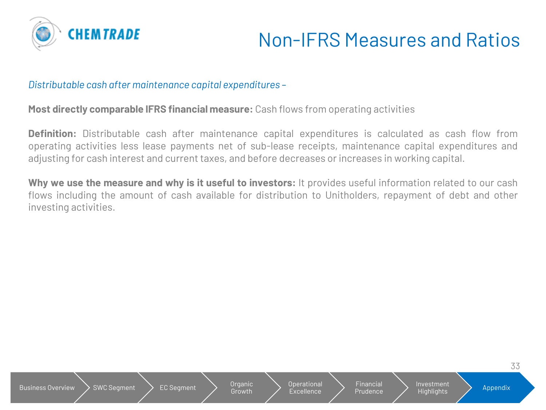

33

#### *Distributable cash after maintenance capital expenditures –*

Business Overview  $\searrow$  SWC Segment  $\searrow$  EC Segment  $\searrow$  Organic

#### **Most directly comparable IFRS financial measure:** Cash flows from operating activities

**Definition:** Distributable cash after maintenance capital expenditures is calculated as cash flow from operating activities less lease payments net of sub-lease receipts, maintenance capital expenditures and adjusting for cash interest and current taxes, and before decreases or increases in working capital.

**Why we use the measure and why is it useful to investors:** It provides useful information related to our cash flows including the amount of cash available for distribution to Unitholders, repayment of debt and other investing activities.

Growth

Operational Excellence

**Financial** Prudence Investment

Highlights **Appendix**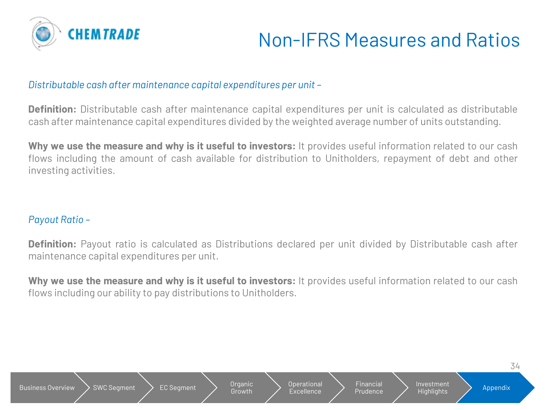

#### *Distributable cash after maintenance capital expenditures per unit –*

**Definition:** Distributable cash after maintenance capital expenditures per unit is calculated as distributable cash after maintenance capital expenditures divided by the weighted average number of units outstanding.

**Why we use the measure and why is it useful to investors:** It provides useful information related to our cash flows including the amount of cash available for distribution to Unitholders, repayment of debt and other investing activities.

#### *Payout Ratio –*

**Definition:** Payout ratio is calculated as Distributions declared per unit divided by Distributable cash after maintenance capital expenditures per unit.

**Why we use the measure and why is it useful to investors:** It provides useful information related to our cash flows including our ability to pay distributions to Unitholders.

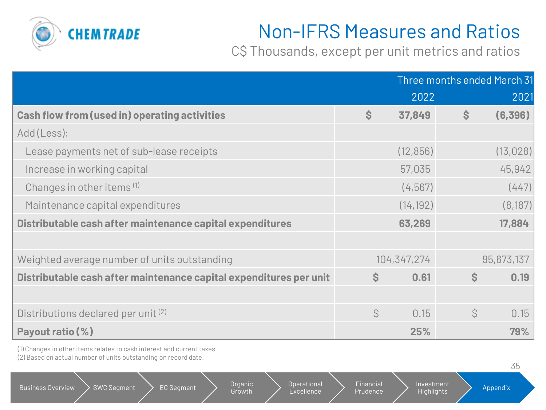

C\$ Thousands, except per unit metrics and ratios

|                                                                    | Three months ended March 31 |             |               |            |
|--------------------------------------------------------------------|-----------------------------|-------------|---------------|------------|
|                                                                    |                             | 2022        |               | 2021       |
| <b>Cash flow from (used in) operating activities</b>               | $\mathsf{S}$                | 37,849      | $\mathcal{S}$ | (6,396)    |
| Add (Less):                                                        |                             |             |               |            |
| Lease payments net of sub-lease receipts                           |                             | (12, 856)   |               | (13, 028)  |
| Increase in working capital                                        |                             | 57,035      |               | 45,942     |
| Changes in other items <sup>(1)</sup>                              |                             | (4, 567)    |               | (447)      |
| Maintenance capital expenditures                                   |                             | (14, 192)   |               | (8, 187)   |
| Distributable cash after maintenance capital expenditures          |                             | 63,269      |               | 17,884     |
|                                                                    |                             |             |               |            |
| Weighted average number of units outstanding                       |                             | 104,347,274 |               | 95,673,137 |
| Distributable cash after maintenance capital expenditures per unit | S.                          | 0.61        | $\mathsf{S}$  | 0.19       |
|                                                                    |                             |             |               |            |
| Distributions declared per unit (2)                                | $\mathcal{S}$               | 0.15        | Ś             | 0.15       |
| Payout ratio (%)                                                   |                             | 25%         |               | 79%        |

(1) Changes in other items relates to cash interest and current taxes. (2) Based on actual number of units outstanding on record date.

|                                                | .                                      |                                                    |                          | しし       |
|------------------------------------------------|----------------------------------------|----------------------------------------------------|--------------------------|----------|
| <b>SWC Segment</b><br><b>Business Overview</b> | Organic<br><b>EC Segment</b><br>Growth | Financial<br>Operational<br>Prudence<br>Excellence | Investment<br>Highlights | Appendix |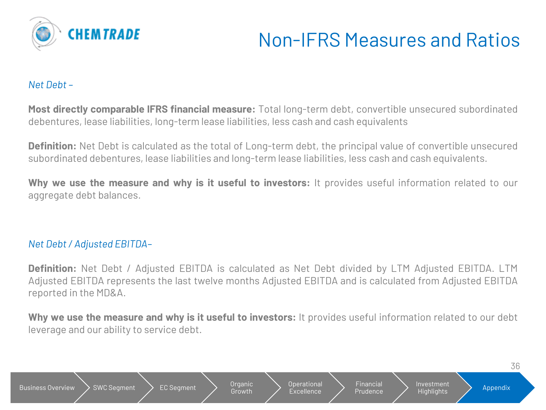

#### *Net Debt –*

**Most directly comparable IFRS financial measure:** Total long-term debt, convertible unsecured subordinated debentures, lease liabilities, long-term lease liabilities, less cash and cash equivalents

**Definition:** Net Debt is calculated as the total of Long-term debt, the principal value of convertible unsecured subordinated debentures, lease liabilities and long-term lease liabilities, less cash and cash equivalents.

**Why we use the measure and why is it useful to investors:** It provides useful information related to our aggregate debt balances.

#### *Net Debt/ Adjusted EBITDA–*

**Definition:** Net Debt / Adjusted EBITDA is calculated as Net Debt divided by LTM Adjusted EBITDA. LTM Adjusted EBITDA represents the last twelve months Adjusted EBITDA and is calculated from Adjusted EBITDA reported in the MD&A.

**Why we use the measure and why is it useful to investors:** It provides useful information related to our debt leverage and our ability to service debt.

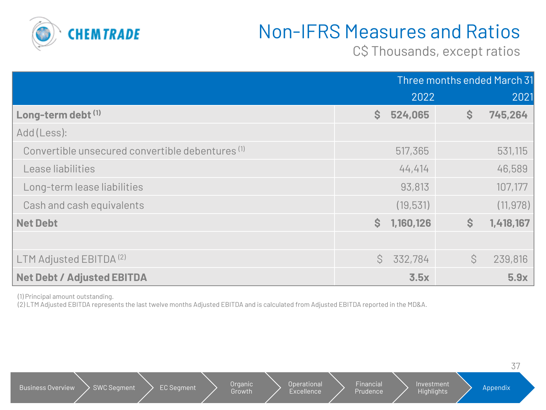

C\$ Thousands, except ratios

|                                                             | Three months ended March 31 |           |              |           |
|-------------------------------------------------------------|-----------------------------|-----------|--------------|-----------|
|                                                             |                             | 2022      |              | 2021      |
| Long-term debt (1)                                          | $\mathsf{S}$                | 524,065   | $\mathsf{S}$ | 745,264   |
| Add (Less):                                                 |                             |           |              |           |
| Convertible unsecured convertible debentures <sup>(1)</sup> |                             | 517,365   |              | 531,115   |
| Lease liabilities                                           |                             | 44,414    |              | 46,589    |
| Long-term lease liabilities                                 |                             | 93,813    |              | 107,177   |
| Cash and cash equivalents                                   |                             | (19, 531) |              | (11, 978) |
| <b>Net Debt</b>                                             | $\mathsf{S}$                | 1,160,126 | $\mathsf{S}$ | 1,418,167 |
|                                                             |                             |           |              |           |
| LTM Adjusted EBITDA <sup>(2)</sup>                          | Ŝ.                          | 332,784   | Ŝ.           | 239,816   |
| <b>Net Debt / Adjusted EBITDA</b>                           |                             | 3.5x      |              | 5.9x      |

(1) Principal amount outstanding.

(2) LTM Adjusted EBITDA represents the last twelve months Adjusted EBITDA and is calculated from Adjusted EBITDA reported in the MD&A.

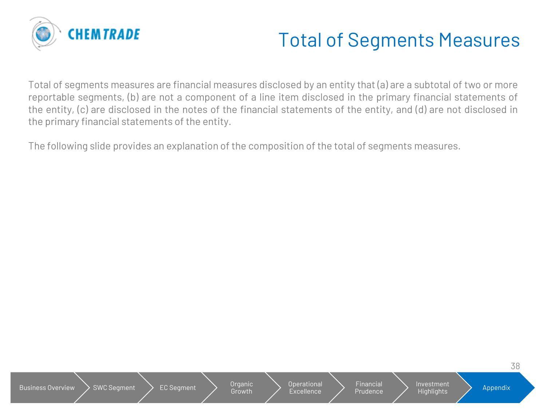

## Total of Segments Measures

Total of segments measures are financial measures disclosed by an entity that (a) are a subtotal of two or more reportable segments, (b) are not a component of a line item disclosed in the primary financial statements of the entity, (c) are disclosed in the notes of the financial statements of the entity, and (d) are not disclosed in the primary financial statements of the entity.

The following slide provides an explanation of the composition of the total of segments measures.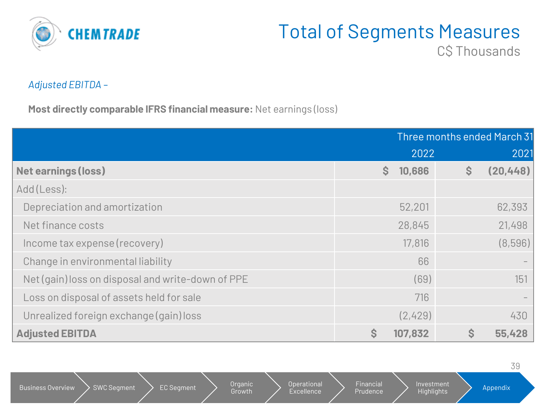

## Total of Segments Measures

C**\$** Thousands

#### *Adjusted EBITDA –*

**Most directly comparable IFRS financial measure:** Net earnings (loss)

|                                                   | Three months ended March 31 |                           |
|---------------------------------------------------|-----------------------------|---------------------------|
|                                                   | 2022                        | 2021                      |
| <b>Net earnings (loss)</b>                        | S.<br>10,686                | (20, 448)<br>$\mathsf{S}$ |
| Add (Less):                                       |                             |                           |
| Depreciation and amortization                     | 52,201                      | 62,393                    |
| Net finance costs                                 | 28,845                      | 21,498                    |
| Income tax expense (recovery)                     | 17,816                      | (8,596)                   |
| Change in environmental liability                 | 66                          |                           |
| Net (gain) loss on disposal and write-down of PPE | (69)                        | 151                       |
| Loss on disposal of assets held for sale          | 716                         |                           |
| Unrealized foreign exchange (gain) loss           | (2,429)                     | 430                       |
| <b>Adjusted EBITDA</b>                            | $\mathsf{S}$<br>107,832     | \$<br>55,428              |

39 Business Overview  $\searrow$  SWC Segment  $\searrow$  EC Segment  $\searrow$  Organic Growth Operational **Excellence** Financial Prudence Investment Highlights **Appendix**